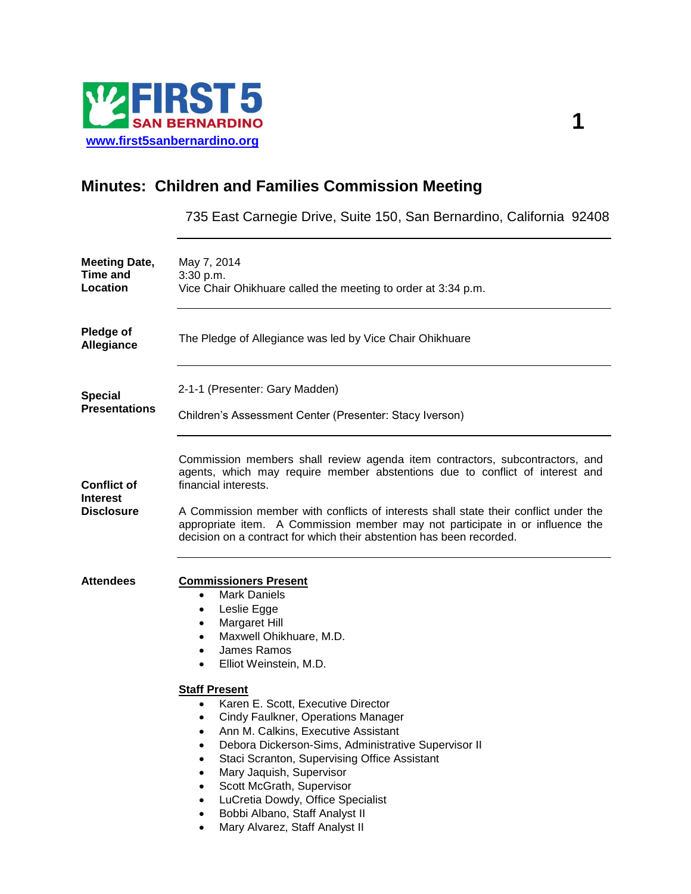

## **Minutes: Children and Families Commission Meeting**

735 East Carnegie Drive, Suite 150, San Bernardino, California 92408

| <b>Meeting Date,</b><br><b>Time and</b><br>Location        | May 7, 2014<br>3:30 p.m.<br>Vice Chair Ohikhuare called the meeting to order at 3:34 p.m.                                                                                                                                                                                                                                                                                                                                                                                                                                                                                                                                                                                                                                                                                          |
|------------------------------------------------------------|------------------------------------------------------------------------------------------------------------------------------------------------------------------------------------------------------------------------------------------------------------------------------------------------------------------------------------------------------------------------------------------------------------------------------------------------------------------------------------------------------------------------------------------------------------------------------------------------------------------------------------------------------------------------------------------------------------------------------------------------------------------------------------|
| <b>Pledge of</b><br><b>Allegiance</b>                      | The Pledge of Allegiance was led by Vice Chair Ohikhuare                                                                                                                                                                                                                                                                                                                                                                                                                                                                                                                                                                                                                                                                                                                           |
| <b>Special</b><br><b>Presentations</b>                     | 2-1-1 (Presenter: Gary Madden)<br>Children's Assessment Center (Presenter: Stacy Iverson)                                                                                                                                                                                                                                                                                                                                                                                                                                                                                                                                                                                                                                                                                          |
| <b>Conflict of</b><br><b>Interest</b><br><b>Disclosure</b> | Commission members shall review agenda item contractors, subcontractors, and<br>agents, which may require member abstentions due to conflict of interest and<br>financial interests.<br>A Commission member with conflicts of interests shall state their conflict under the<br>appropriate item. A Commission member may not participate in or influence the<br>decision on a contract for which their abstention has been recorded.                                                                                                                                                                                                                                                                                                                                              |
| <b>Attendees</b>                                           | <b>Commissioners Present</b><br><b>Mark Daniels</b><br>$\bullet$<br>Leslie Egge<br>$\bullet$<br>Margaret Hill<br>٠<br>Maxwell Ohikhuare, M.D.<br>$\bullet$<br>James Ramos<br>$\bullet$<br>Elliot Weinstein, M.D.<br>$\bullet$<br><b>Staff Present</b><br>Karen E. Scott, Executive Director<br>$\bullet$<br><b>Cindy Faulkner, Operations Manager</b><br>$\bullet$<br>Ann M. Calkins, Executive Assistant<br>٠<br>Debora Dickerson-Sims, Administrative Supervisor II<br>$\bullet$<br>Staci Scranton, Supervising Office Assistant<br>$\bullet$<br>Mary Jaquish, Supervisor<br>$\bullet$<br>Scott McGrath, Supervisor<br>$\bullet$<br>LuCretia Dowdy, Office Specialist<br>$\bullet$<br>Bobbi Albano, Staff Analyst II<br>$\bullet$<br>Mary Alvarez, Staff Analyst II<br>$\bullet$ |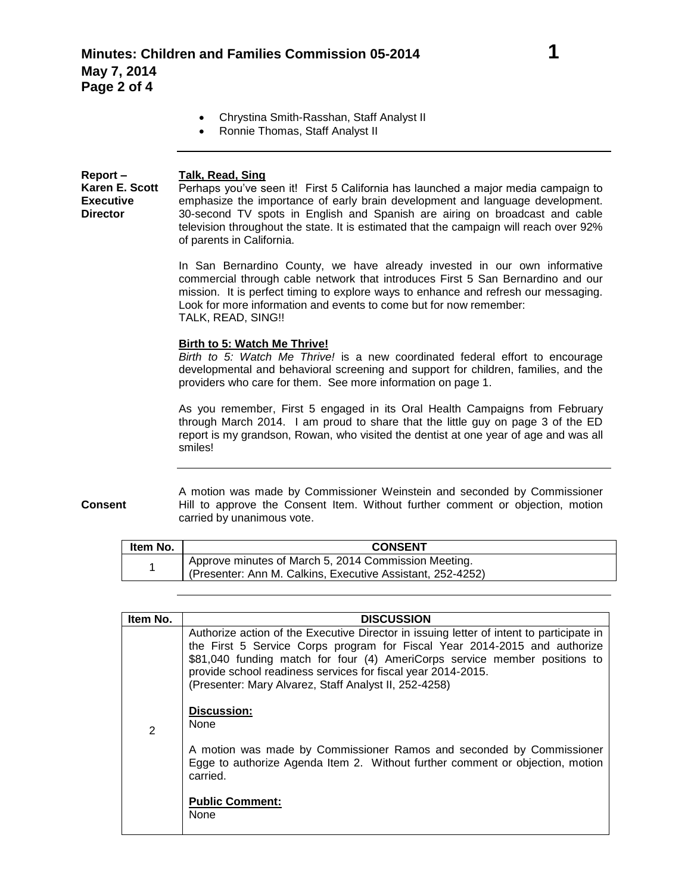- Chrystina Smith-Rasshan, Staff Analyst II
- Ronnie Thomas, Staff Analyst II

**Report – Karen E. Scott Talk, Read, Sing** Perhaps you've seen it! First 5 California has launched a major media campaign to emphasize the importance of early brain development and language development. 30-second TV spots in English and Spanish are airing on broadcast and cable television throughout the state. It is estimated that the campaign will reach over 92% of parents in California.

> In San Bernardino County, we have already invested in our own informative commercial through cable network that introduces First 5 San Bernardino and our mission. It is perfect timing to explore ways to enhance and refresh our messaging. Look for more information and events to come but for now remember: TALK, READ, SING!!

## **Birth to 5: Watch Me Thrive!**

*Birth to 5: Watch Me Thrive!* is a new coordinated federal effort to encourage developmental and behavioral screening and support for children, families, and the providers who care for them. See more information on page 1.

As you remember, First 5 engaged in its Oral Health Campaigns from February through March 2014. I am proud to share that the little guy on page 3 of the ED report is my grandson, Rowan, who visited the dentist at one year of age and was all smiles!

**Consent** A motion was made by Commissioner Weinstein and seconded by Commissioner Hill to approve the Consent Item. Without further comment or objection, motion carried by unanimous vote.

| Item No. | <b>CONSENT</b>                                                                                                     |
|----------|--------------------------------------------------------------------------------------------------------------------|
|          | Approve minutes of March 5, 2014 Commission Meeting.<br>(Presenter: Ann M. Calkins, Executive Assistant, 252-4252) |

| Item No. | <b>DISCUSSION</b>                                                                                                                                                                                                                                                                                                                                                            |
|----------|------------------------------------------------------------------------------------------------------------------------------------------------------------------------------------------------------------------------------------------------------------------------------------------------------------------------------------------------------------------------------|
| 2        | Authorize action of the Executive Director in issuing letter of intent to participate in<br>the First 5 Service Corps program for Fiscal Year 2014-2015 and authorize<br>\$81,040 funding match for four (4) AmeriCorps service member positions to<br>provide school readiness services for fiscal year 2014-2015.<br>(Presenter: Mary Alvarez, Staff Analyst II, 252-4258) |
|          | Discussion:<br><b>None</b>                                                                                                                                                                                                                                                                                                                                                   |
|          | A motion was made by Commissioner Ramos and seconded by Commissioner<br>Egge to authorize Agenda Item 2. Without further comment or objection, motion<br>carried.                                                                                                                                                                                                            |
|          | <b>Public Comment:</b><br>None                                                                                                                                                                                                                                                                                                                                               |

**Executive Director**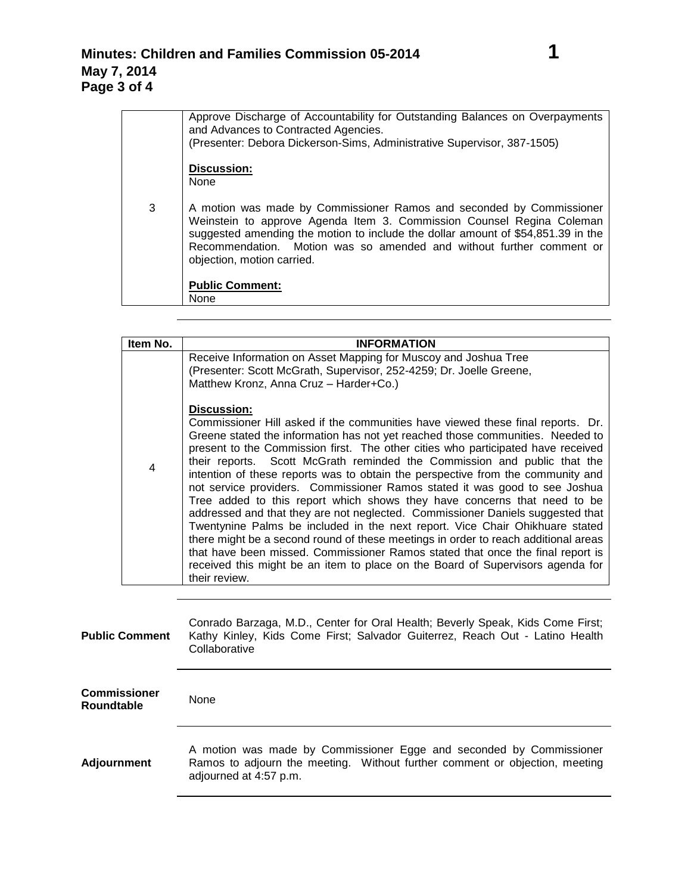|   | Approve Discharge of Accountability for Outstanding Balances on Overpayments<br>and Advances to Contracted Agencies.<br>(Presenter: Debora Dickerson-Sims, Administrative Supervisor, 387-1505)                                                                                                                                         |
|---|-----------------------------------------------------------------------------------------------------------------------------------------------------------------------------------------------------------------------------------------------------------------------------------------------------------------------------------------|
|   | Discussion:<br><b>None</b>                                                                                                                                                                                                                                                                                                              |
|   |                                                                                                                                                                                                                                                                                                                                         |
| 3 | A motion was made by Commissioner Ramos and seconded by Commissioner<br>Weinstein to approve Agenda Item 3. Commission Counsel Regina Coleman<br>suggested amending the motion to include the dollar amount of \$54,851.39 in the<br>Recommendation. Motion was so amended and without further comment or<br>objection, motion carried. |
|   | <b>Public Comment:</b>                                                                                                                                                                                                                                                                                                                  |
|   | None                                                                                                                                                                                                                                                                                                                                    |

| Item No.       | <b>INFORMATION</b>                                                                                                                                                                                                                                                                                                                                                                                                                                                                                                                                                                                                                                                                                                                                                                                                                                                                                                                                                                                                                         |
|----------------|--------------------------------------------------------------------------------------------------------------------------------------------------------------------------------------------------------------------------------------------------------------------------------------------------------------------------------------------------------------------------------------------------------------------------------------------------------------------------------------------------------------------------------------------------------------------------------------------------------------------------------------------------------------------------------------------------------------------------------------------------------------------------------------------------------------------------------------------------------------------------------------------------------------------------------------------------------------------------------------------------------------------------------------------|
|                | Receive Information on Asset Mapping for Muscoy and Joshua Tree<br>(Presenter: Scott McGrath, Supervisor, 252-4259; Dr. Joelle Greene,<br>Matthew Kronz, Anna Cruz - Harder+Co.)                                                                                                                                                                                                                                                                                                                                                                                                                                                                                                                                                                                                                                                                                                                                                                                                                                                           |
| $\overline{4}$ | Discussion:<br>Commissioner Hill asked if the communities have viewed these final reports. Dr.<br>Greene stated the information has not yet reached those communities. Needed to<br>present to the Commission first. The other cities who participated have received<br>their reports. Scott McGrath reminded the Commission and public that the<br>intention of these reports was to obtain the perspective from the community and<br>not service providers. Commissioner Ramos stated it was good to see Joshua<br>Tree added to this report which shows they have concerns that need to be<br>addressed and that they are not neglected. Commissioner Daniels suggested that<br>Twentynine Palms be included in the next report. Vice Chair Ohikhuare stated<br>there might be a second round of these meetings in order to reach additional areas<br>that have been missed. Commissioner Ramos stated that once the final report is<br>received this might be an item to place on the Board of Supervisors agenda for<br>their review. |

| <b>Public Comment</b>                    | Conrado Barzaga, M.D., Center for Oral Health; Beverly Speak, Kids Come First;<br>Kathy Kinley, Kids Come First; Salvador Guiterrez, Reach Out - Latino Health<br>Collaborative |
|------------------------------------------|---------------------------------------------------------------------------------------------------------------------------------------------------------------------------------|
| <b>Commissioner</b><br><b>Roundtable</b> | None                                                                                                                                                                            |
| <b>Adjournment</b>                       | A motion was made by Commissioner Egge and seconded by Commissioner<br>Ramos to adjourn the meeting. Without further comment or objection, meeting<br>adjourned at 4:57 p.m.    |